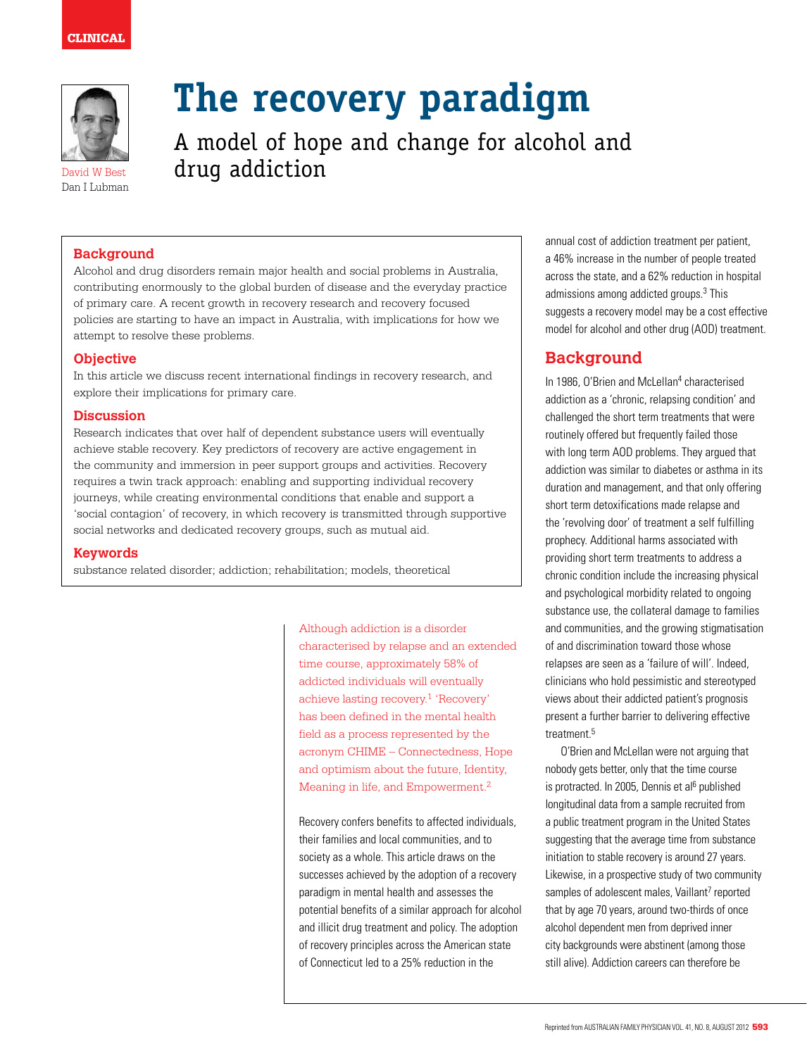

Dan I Lubman

# **The recovery paradigm**

A model of hope and change for alcohol and David W Best drug addiction

## **Background**

Alcohol and drug disorders remain major health and social problems in Australia, contributing enormously to the global burden of disease and the everyday practice of primary care. A recent growth in recovery research and recovery focused policies are starting to have an impact in Australia, with implications for how we attempt to resolve these problems.

## **Objective**

In this article we discuss recent international findings in recovery research, and explore their implications for primary care.

### **Discussion**

Research indicates that over half of dependent substance users will eventually achieve stable recovery. Key predictors of recovery are active engagement in the community and immersion in peer support groups and activities. Recovery requires a twin track approach: enabling and supporting individual recovery journeys, while creating environmental conditions that enable and support a 'social contagion' of recovery, in which recovery is transmitted through supportive social networks and dedicated recovery groups, such as mutual aid.

#### **Keywords**

substance related disorder; addiction; rehabilitation; models, theoretical

Although addiction is a disorder characterised by relapse and an extended time course, approximately 58% of addicted individuals will eventually achieve lasting recovery.1 'Recovery' has been defined in the mental health field as a process represented by the acronym CHIME – Connectedness, Hope and optimism about the future, Identity, Meaning in life, and Empowerment.<sup>2</sup>

Recovery confers benefits to affected individuals, their families and local communities, and to society as a whole. This article draws on the successes achieved by the adoption of a recovery paradigm in mental health and assesses the potential benefits of a similar approach for alcohol and illicit drug treatment and policy. The adoption of recovery principles across the American state of Connecticut led to a 25% reduction in the

annual cost of addiction treatment per patient, a 46% increase in the number of people treated across the state, and a 62% reduction in hospital admissions among addicted groups.3 This suggests a recovery model may be a cost effective model for alcohol and other drug (AOD) treatment.

# **Background**

In 1986, O'Brien and McLellan<sup>4</sup> characterised addiction as a 'chronic, relapsing condition' and challenged the short term treatments that were routinely offered but frequently failed those with long term AOD problems. They argued that addiction was similar to diabetes or asthma in its duration and management, and that only offering short term detoxifications made relapse and the 'revolving door' of treatment a self fulfilling prophecy. Additional harms associated with providing short term treatments to address a chronic condition include the increasing physical and psychological morbidity related to ongoing substance use, the collateral damage to families and communities, and the growing stigmatisation of and discrimination toward those whose relapses are seen as a 'failure of will'. Indeed, clinicians who hold pessimistic and stereotyped views about their addicted patient's prognosis present a further barrier to delivering effective treatment.5

O'Brien and McLellan were not arguing that nobody gets better, only that the time course is protracted. In 2005, Dennis et al<sup>6</sup> published longitudinal data from a sample recruited from a public treatment program in the United States suggesting that the average time from substance initiation to stable recovery is around 27 years. Likewise, in a prospective study of two community samples of adolescent males, Vaillant<sup>7</sup> reported that by age 70 years, around two-thirds of once alcohol dependent men from deprived inner city backgrounds were abstinent (among those still alive). Addiction careers can therefore be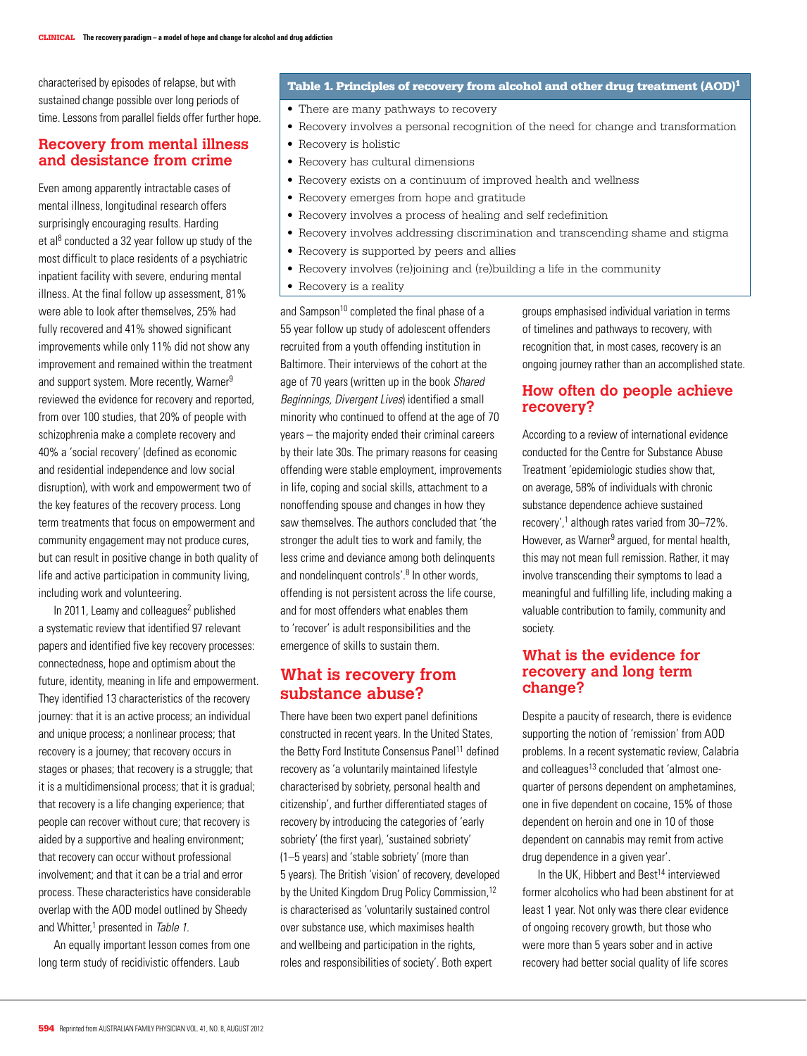characterised by episodes of relapse, but with sustained change possible over long periods of time. Lessons from parallel fields offer further hope.

## **Recovery from mental illness and desistance from crime**

Even among apparently intractable cases of mental illness, longitudinal research offers surprisingly encouraging results. Harding et al<sup>8</sup> conducted a 32 year follow up study of the most difficult to place residents of a psychiatric inpatient facility with severe, enduring mental illness. At the final follow up assessment, 81% were able to look after themselves, 25% had fully recovered and 41% showed significant improvements while only 11% did not show any improvement and remained within the treatment and support system. More recently, Warner<sup>9</sup> reviewed the evidence for recovery and reported, from over 100 studies, that 20% of people with schizophrenia make a complete recovery and 40% a 'social recovery' (defined as economic and residential independence and low social disruption), with work and empowerment two of the key features of the recovery process. Long term treatments that focus on empowerment and community engagement may not produce cures, but can result in positive change in both quality of life and active participation in community living, including work and volunteering.

In 2011, Leamy and colleagues<sup>2</sup> published a systematic review that identified 97 relevant papers and identified five key recovery processes: connectedness, hope and optimism about the future, identity, meaning in life and empowerment. They identified 13 characteristics of the recovery journey: that it is an active process; an individual and unique process; a nonlinear process; that recovery is a journey; that recovery occurs in stages or phases; that recovery is a struggle; that it is a multidimensional process; that it is gradual; that recovery is a life changing experience; that people can recover without cure; that recovery is aided by a supportive and healing environment; that recovery can occur without professional involvement; and that it can be a trial and error process. These characteristics have considerable overlap with the AOD model outlined by Sheedy and Whitter,<sup>1</sup> presented in Table 1.

An equally important lesson comes from one long term study of recidivistic offenders. Laub

### Table 1. Principles of recovery from alcohol and other drug treatment (AOD)<sup>1</sup>

- There are many pathways to recovery
- • Recovery involves a personal recognition of the need for change and transformation
- Recovery is holistic
- Recovery has cultural dimensions
- Recovery exists on a continuum of improved health and wellness
- Recovery emerges from hope and gratitude
- Recovery involves a process of healing and self redefinition
- • Recovery involves addressing discrimination and transcending shame and stigma
- Recovery is supported by peers and allies
- Recovery involves (re)joining and (re)building a life in the community
- Recovery is a reality

and Sampson<sup>10</sup> completed the final phase of a 55 year follow up study of adolescent offenders recruited from a youth offending institution in Baltimore. Their interviews of the cohort at the age of 70 years (written up in the book Shared Beginnings, Divergent Lives) identified a small minority who continued to offend at the age of 70 years – the majority ended their criminal careers by their late 30s. The primary reasons for ceasing offending were stable employment, improvements in life, coping and social skills, attachment to a nonoffending spouse and changes in how they saw themselves. The authors concluded that 'the stronger the adult ties to work and family, the less crime and deviance among both delinquents and nondelinquent controls'.<sup>8</sup> In other words, offending is not persistent across the life course, and for most offenders what enables them to 'recover' is adult responsibilities and the emergence of skills to sustain them.

# **What is recovery from substance abuse?**

There have been two expert panel definitions constructed in recent years. In the United States, the Betty Ford Institute Consensus Panel<sup>11</sup> defined recovery as 'a voluntarily maintained lifestyle characterised by sobriety, personal health and citizenship', and further differentiated stages of recovery by introducing the categories of 'early sobriety' (the first year), 'sustained sobriety' (1–5 years) and 'stable sobriety' (more than 5 years). The British 'vision' of recovery, developed by the United Kingdom Drug Policy Commission,<sup>12</sup> is characterised as 'voluntarily sustained control over substance use, which maximises health and wellbeing and participation in the rights, roles and responsibilities of society'. Both expert

groups emphasised individual variation in terms of timelines and pathways to recovery, with recognition that, in most cases, recovery is an ongoing journey rather than an accomplished state.

## **How often do people achieve recovery?**

According to a review of international evidence conducted for the Centre for Substance Abuse Treatment 'epidemiologic studies show that, on average, 58% of individuals with chronic substance dependence achieve sustained recovery',<sup>1</sup> although rates varied from 30-72%. However, as Warner<sup>9</sup> argued, for mental health, this may not mean full remission. Rather, it may involve transcending their symptoms to lead a meaningful and fulfilling life, including making a valuable contribution to family, community and society.

# **What is the evidence for recovery and long term change?**

Despite a paucity of research, there is evidence supporting the notion of 'remission' from AOD problems. In a recent systematic review, Calabria and colleagues<sup>13</sup> concluded that 'almost onequarter of persons dependent on amphetamines, one in five dependent on cocaine, 15% of those dependent on heroin and one in 10 of those dependent on cannabis may remit from active drug dependence in a given year'.

In the UK, Hibbert and Best<sup>14</sup> interviewed former alcoholics who had been abstinent for at least 1 year. Not only was there clear evidence of ongoing recovery growth, but those who were more than 5 years sober and in active recovery had better social quality of life scores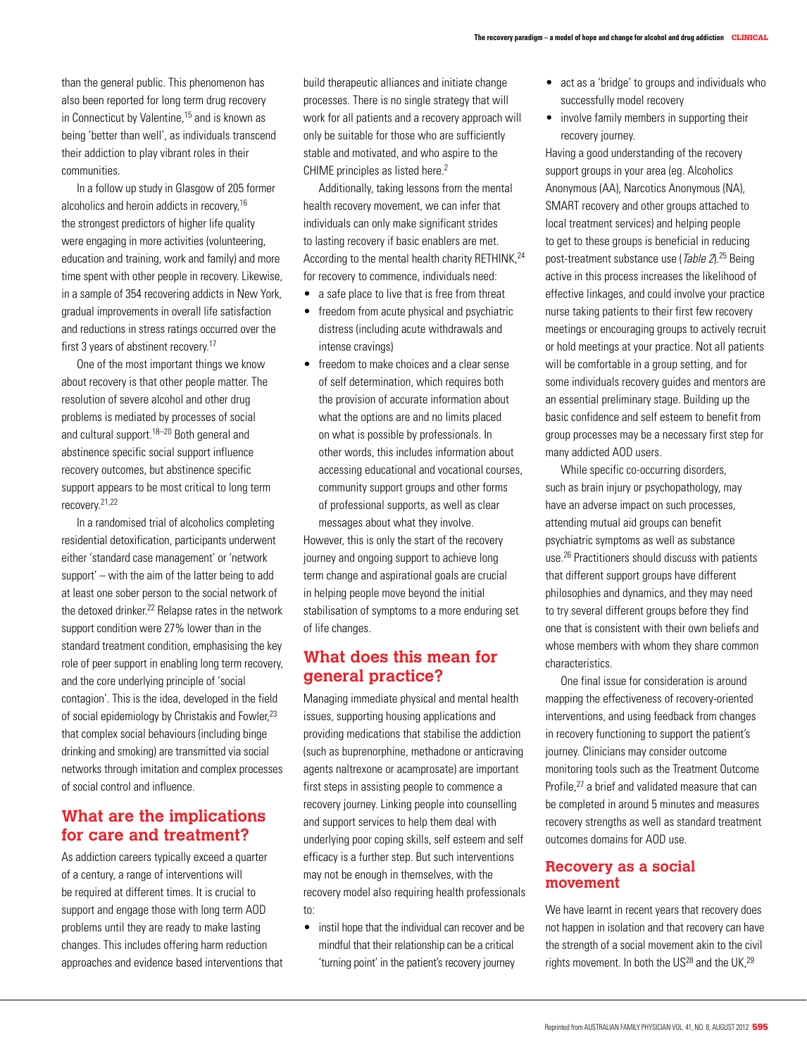than the general public. This phenomenon has also been reported for long term drug recovery in Connecticut by Valentine,<sup>15</sup> and is known as being 'better than well', as individuals transcend their addiction to play vibrant roles in their communities.

In a follow up study in Glasgow of 205 former alcoholics and heroin addicts in recovery,16 the strongest predictors of higher life quality were engaging in more activities (volunteering, education and training, work and family) and more time spent with other people in recovery. Likewise, in a sample of 354 recovering addicts in New York, gradual improvements in overall life satisfaction and reductions in stress ratings occurred over the first 3 years of abstinent recovery.<sup>17</sup>

One of the most important things we know about recovery is that other people matter. The resolution of severe alcohol and other drug problems is mediated by processes of social and cultural support.<sup>18–20</sup> Both general and abstinence specific social support influence recovery outcomes, but abstinence specific support appears to be most critical to long term recovery.21,22

In a randomised trial of alcoholics completing residential detoxification, participants underwent either 'standard case management' or 'network support' – with the aim of the latter being to add at least one sober person to the social network of the detoxed drinker.<sup>22</sup> Relapse rates in the network support condition were 27% lower than in the standard treatment condition, emphasising the key role of peer support in enabling long term recovery, and the core underlying principle of 'social contagion'. This is the idea, developed in the field of social epidemiology by Christakis and Fowler,<sup>23</sup> that complex social behaviours (including binge drinking and smoking) are transmitted via social networks through imitation and complex processes of social control and influence.

# **What are the implications for care and treatment?**

As addiction careers typically exceed a quarter of a century, a range of interventions will be required at different times. It is crucial to support and engage those with long term AOD problems until they are ready to make lasting changes. This includes offering harm reduction approaches and evidence based interventions that build therapeutic alliances and initiate change processes. There is no single strategy that will work for all patients and a recovery approach will only be suitable for those who are sufficiently stable and motivated, and who aspire to the CHIME principles as listed here.<sup>2</sup>

Additionally, taking lessons from the mental health recovery movement, we can infer that individuals can only make significant strides to lasting recovery if basic enablers are met. According to the mental health charity RETHINK, 24 for recovery to commence, individuals need:

- a safe place to live that is free from threat
- freedom from acute physical and psychiatric distress (including acute withdrawals and intense cravings)
- freedom to make choices and a clear sense of self determination, which requires both the provision of accurate information about what the options are and no limits placed on what is possible by professionals. In other words, this includes information about accessing educational and vocational courses, community support groups and other forms of professional supports, as well as clear messages about what they involve.

However, this is only the start of the recovery journey and ongoing support to achieve long term change and aspirational goals are crucial in helping people move beyond the initial stabilisation of symptoms to a more enduring set of life changes.

# **What does this mean for general practice?**

Managing immediate physical and mental health issues, supporting housing applications and providing medications that stabilise the addiction (such as buprenorphine, methadone or anticraving agents naltrexone or acamprosate) are important first steps in assisting people to commence a recovery journey. Linking people into counselling and support services to help them deal with underlying poor coping skills, self esteem and self efficacy is a further step. But such interventions may not be enough in themselves, with the recovery model also requiring health professionals to:

• instil hope that the individual can recover and be mindful that their relationship can be a critical 'turning point' in the patient's recovery journey

- act as a 'bridge' to groups and individuals who successfully model recovery
- involve family members in supporting their recovery journey.

Having a good understanding of the recovery support groups in your area (eg. Alcoholics Anonymous (AA), Narcotics Anonymous (NA), SMART recovery and other groups attached to local treatment services) and helping people to get to these groups is beneficial in reducing post-treatment substance use (Table 2).25 Being active in this process increases the likelihood of effective linkages, and could involve your practice nurse taking patients to their first few recovery meetings or encouraging groups to actively recruit or hold meetings at your practice. Not all patients will be comfortable in a group setting, and for some individuals recovery guides and mentors are an essential preliminary stage. Building up the basic confidence and self esteem to benefit from group processes may be a necessary first step for many addicted AOD users.

While specific co-occurring disorders, such as brain injury or psychopathology, may have an adverse impact on such processes, attending mutual aid groups can benefit psychiatric symptoms as well as substance use.26 Practitioners should discuss with patients that different support groups have different philosophies and dynamics, and they may need to try several different groups before they find one that is consistent with their own beliefs and whose members with whom they share common characteristics.

One final issue for consideration is around mapping the effectiveness of recovery-oriented interventions, and using feedback from changes in recovery functioning to support the patient's journey. Clinicians may consider outcome monitoring tools such as the Treatment Outcome Profile,<sup>27</sup> a brief and validated measure that can be completed in around 5 minutes and measures recovery strengths as well as standard treatment outcomes domains for AOD use.

## **Recovery as a social movement**

We have learnt in recent years that recovery does not happen in isolation and that recovery can have the strength of a social movement akin to the civil rights movement. In both the  $US^{28}$  and the UK,  $29$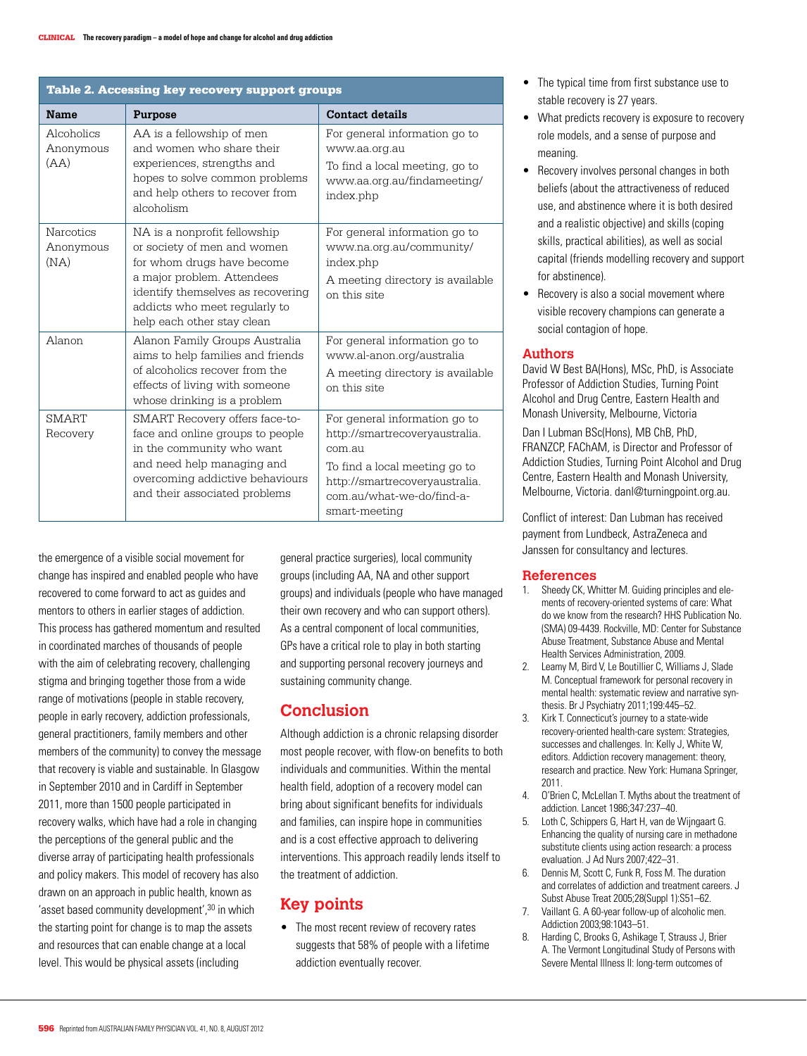| Table 2. Accessing key recovery support groups |                                                                                                                                                                                                                             |                                                                                                                                                                                            |
|------------------------------------------------|-----------------------------------------------------------------------------------------------------------------------------------------------------------------------------------------------------------------------------|--------------------------------------------------------------------------------------------------------------------------------------------------------------------------------------------|
| <b>Name</b>                                    | Purpose                                                                                                                                                                                                                     | <b>Contact details</b>                                                                                                                                                                     |
| Alcoholics<br>Anonymous<br>(AA)                | AA is a fellowship of men<br>and women who share their<br>experiences, strengths and<br>hopes to solve common problems<br>and help others to recover from<br>alcoholism                                                     | For general information go to<br>www.aa.org.au<br>To find a local meeting, go to<br>www.aa.org.au/findameeting/<br>index.php                                                               |
| <b>Narcotics</b><br>Anonymous<br>(NA)          | NA is a nonprofit fellowship<br>or society of men and women<br>for whom drugs have become<br>a major problem. Attendees<br>identify themselves as recovering<br>addicts who meet regularly to<br>help each other stay clean | For general information go to<br>www.na.org.au/community/<br>index.php<br>A meeting directory is available<br>on this site                                                                 |
| Alanon                                         | Alanon Family Groups Australia<br>aims to help families and friends<br>of alcoholics recover from the<br>effects of living with someone<br>whose drinking is a problem                                                      | For general information go to<br>www.al-anon.org/australia<br>A meeting directory is available<br>on this site                                                                             |
| <b>SMART</b><br>Recovery                       | SMART Recovery offers face-to-<br>face and online groups to people<br>in the community who want<br>and need help managing and<br>overcoming addictive behaviours<br>and their associated problems                           | For general information go to<br>http://smartrecoveryaustralia.<br>com au<br>To find a local meeting go to<br>http://smartrecoveryaustralia.<br>com au/what-we-do/find-a-<br>smart-meeting |

the emergence of a visible social movement for change has inspired and enabled people who have recovered to come forward to act as guides and mentors to others in earlier stages of addiction. This process has gathered momentum and resulted in coordinated marches of thousands of people with the aim of celebrating recovery, challenging stigma and bringing together those from a wide range of motivations (people in stable recovery, people in early recovery, addiction professionals, general practitioners, family members and other members of the community) to convey the message that recovery is viable and sustainable. In Glasgow in September 2010 and in Cardiff in September 2011, more than 1500 people participated in recovery walks, which have had a role in changing the perceptions of the general public and the diverse array of participating health professionals and policy makers. This model of recovery has also drawn on an approach in public health, known as 'asset based community development',<sup>30</sup> in which the starting point for change is to map the assets and resources that can enable change at a local level. This would be physical assets (including

general practice surgeries), local community groups (including AA, NA and other support groups) and individuals (people who have managed their own recovery and who can support others). As a central component of local communities, GPs have a critical role to play in both starting and supporting personal recovery journeys and sustaining community change.

# **Conclusion**

Although addiction is a chronic relapsing disorder most people recover, with flow-on benefits to both individuals and communities. Within the mental health field, adoption of a recovery model can bring about significant benefits for individuals and families, can inspire hope in communities and is a cost effective approach to delivering interventions. This approach readily lends itself to the treatment of addiction.

# **Key points**

• The most recent review of recovery rates suggests that 58% of people with a lifetime addiction eventually recover.

- The typical time from first substance use to stable recovery is 27 years.
- • What predicts recovery is exposure to recovery role models, and a sense of purpose and meaning.
- Recovery involves personal changes in both beliefs (about the attractiveness of reduced use, and abstinence where it is both desired and a realistic objective) and skills (coping skills, practical abilities), as well as social capital (friends modelling recovery and support for abstinence).
- Recovery is also a social movement where visible recovery champions can generate a social contagion of hope.

## **Authors**

David W Best BA(Hons), MSc, PhD, is Associate Professor of Addiction Studies, Turning Point Alcohol and Drug Centre, Eastern Health and Monash University, Melbourne, Victoria

Dan I Lubman BSc(Hons), MB ChB, PhD, FRANZCP, FAChAM, is Director and Professor of Addiction Studies, Turning Point Alcohol and Drug Centre, Eastern Health and Monash University, Melbourne, Victoria. danl@turningpoint.org.au.

Conflict of interest: Dan Lubman has received payment from Lundbeck, AstraZeneca and Janssen for consultancy and lectures.

### **References**

- 1. Sheedy CK, Whitter M. Guiding principles and elements of recovery-oriented systems of care: What do we know from the research? HHS Publication No. (SMA) 09-4439. Rockville, MD: Center for Substance Abuse Treatment, Substance Abuse and Mental Health Services Administration, 2009.
- 2. Leamy M, Bird V, Le Boutillier C, Williams J, Slade M. Conceptual framework for personal recovery in mental health: systematic review and narrative synthesis. Br J Psychiatry 2011;199:445–52.
- 3. Kirk T. Connecticut's journey to a state-wide recovery-oriented health-care system: Strategies, successes and challenges. In: Kelly J, White W, editors. Addiction recovery management: theory, research and practice. New York: Humana Springer, 2011.
- 4. O'Brien C, McLellan T. Myths about the treatment of addiction. Lancet 1986;347:237–40.
- 5. Loth C, Schippers G, Hart H, van de Wijngaart G. Enhancing the quality of nursing care in methadone substitute clients using action research: a process evaluation. J Ad Nurs 2007;422–31.
- 6. Dennis M, Scott C, Funk R, Foss M. The duration and correlates of addiction and treatment careers. J Subst Abuse Treat 2005;28(Suppl 1):S51–62.
- 7. Vaillant G. A 60-year follow-up of alcoholic men. Addiction 2003;98:1043–51.
- 8. Harding C, Brooks G, Ashikage T, Strauss J, Brier A. The Vermont Longitudinal Study of Persons with Severe Mental Illness II: long-term outcomes of